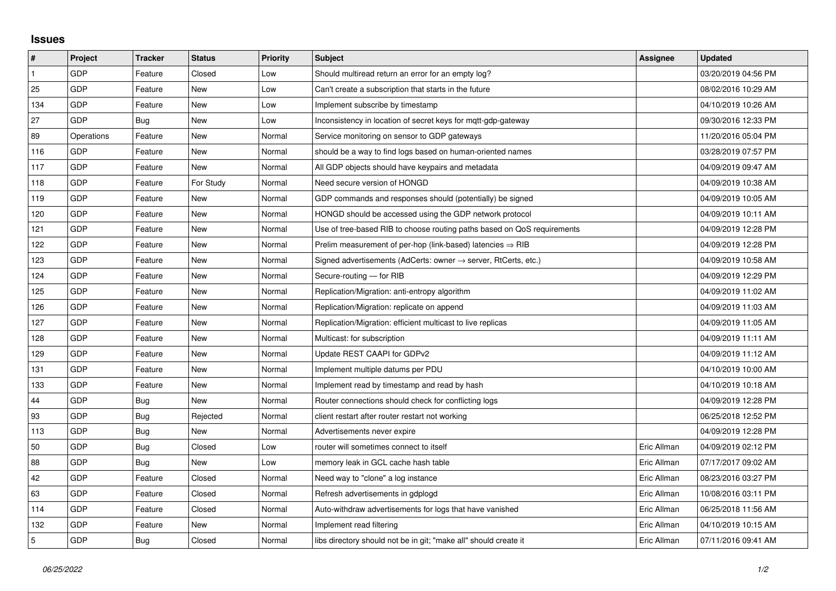## **Issues**

| #   | Project    | <b>Tracker</b> | <b>Status</b> | <b>Priority</b> | <b>Subject</b>                                                          | Assignee    | <b>Updated</b>      |
|-----|------------|----------------|---------------|-----------------|-------------------------------------------------------------------------|-------------|---------------------|
|     | GDP        | Feature        | Closed        | Low             | Should multiread return an error for an empty log?                      |             | 03/20/2019 04:56 PM |
| 25  | GDP        | Feature        | <b>New</b>    | Low             | Can't create a subscription that starts in the future                   |             | 08/02/2016 10:29 AM |
| 134 | GDP        | Feature        | New           | Low             | Implement subscribe by timestamp                                        |             | 04/10/2019 10:26 AM |
| 27  | GDP        | Bug            | <b>New</b>    | Low             | Inconsistency in location of secret keys for mgtt-gdp-gateway           |             | 09/30/2016 12:33 PM |
| 89  | Operations | Feature        | <b>New</b>    | Normal          | Service monitoring on sensor to GDP gateways                            |             | 11/20/2016 05:04 PM |
| 116 | GDP        | Feature        | New           | Normal          | should be a way to find logs based on human-oriented names              |             | 03/28/2019 07:57 PM |
| 117 | GDP        | Feature        | <b>New</b>    | Normal          | All GDP objects should have keypairs and metadata                       |             | 04/09/2019 09:47 AM |
| 118 | GDP        | Feature        | For Study     | Normal          | Need secure version of HONGD                                            |             | 04/09/2019 10:38 AM |
| 119 | GDP        | Feature        | New           | Normal          | GDP commands and responses should (potentially) be signed               |             | 04/09/2019 10:05 AM |
| 120 | GDP        | Feature        | <b>New</b>    | Normal          | HONGD should be accessed using the GDP network protocol                 |             | 04/09/2019 10:11 AM |
| 121 | GDP        | Feature        | New           | Normal          | Use of tree-based RIB to choose routing paths based on QoS requirements |             | 04/09/2019 12:28 PM |
| 122 | GDP        | Feature        | New           | Normal          | Prelim measurement of per-hop (link-based) latencies $\Rightarrow$ RIB  |             | 04/09/2019 12:28 PM |
| 123 | GDP        | Feature        | <b>New</b>    | Normal          | Signed advertisements (AdCerts: owner → server, RtCerts, etc.)          |             | 04/09/2019 10:58 AM |
| 124 | GDP        | Feature        | New           | Normal          | Secure-routing - for RIB                                                |             | 04/09/2019 12:29 PM |
| 125 | GDP        | Feature        | New           | Normal          | Replication/Migration: anti-entropy algorithm                           |             | 04/09/2019 11:02 AM |
| 126 | GDP        | Feature        | New           | Normal          | Replication/Migration: replicate on append                              |             | 04/09/2019 11:03 AM |
| 127 | GDP        | Feature        | New           | Normal          | Replication/Migration: efficient multicast to live replicas             |             | 04/09/2019 11:05 AM |
| 128 | GDP        | Feature        | New           | Normal          | Multicast: for subscription                                             |             | 04/09/2019 11:11 AM |
| 129 | GDP        | Feature        | <b>New</b>    | Normal          | Update REST CAAPI for GDPv2                                             |             | 04/09/2019 11:12 AM |
| 131 | GDP        | Feature        | New           | Normal          | Implement multiple datums per PDU                                       |             | 04/10/2019 10:00 AM |
| 133 | GDP        | Feature        | New           | Normal          | Implement read by timestamp and read by hash                            |             | 04/10/2019 10:18 AM |
| 44  | GDP        | Bug            | <b>New</b>    | Normal          | Router connections should check for conflicting logs                    |             | 04/09/2019 12:28 PM |
| 93  | GDP        | Bug            | Rejected      | Normal          | client restart after router restart not working                         |             | 06/25/2018 12:52 PM |
| 113 | GDP        | Bug            | <b>New</b>    | Normal          | Advertisements never expire                                             |             | 04/09/2019 12:28 PM |
| 50  | GDP        | Bug            | Closed        | Low             | router will sometimes connect to itself                                 | Eric Allman | 04/09/2019 02:12 PM |
| 88  | GDP        | Bug            | New           | Low             | memory leak in GCL cache hash table                                     | Eric Allman | 07/17/2017 09:02 AM |
| 42  | GDP        | Feature        | Closed        | Normal          | Need way to "clone" a log instance                                      | Eric Allman | 08/23/2016 03:27 PM |
| 63  | GDP        | Feature        | Closed        | Normal          | Refresh advertisements in gdplogd                                       | Eric Allman | 10/08/2016 03:11 PM |
| 114 | GDP        | Feature        | Closed        | Normal          | Auto-withdraw advertisements for logs that have vanished                | Eric Allman | 06/25/2018 11:56 AM |
| 132 | GDP        | Feature        | New           | Normal          | Implement read filtering                                                | Eric Allman | 04/10/2019 10:15 AM |
| 5   | GDP        | Bug            | Closed        | Normal          | libs directory should not be in git; "make all" should create it        | Eric Allman | 07/11/2016 09:41 AM |